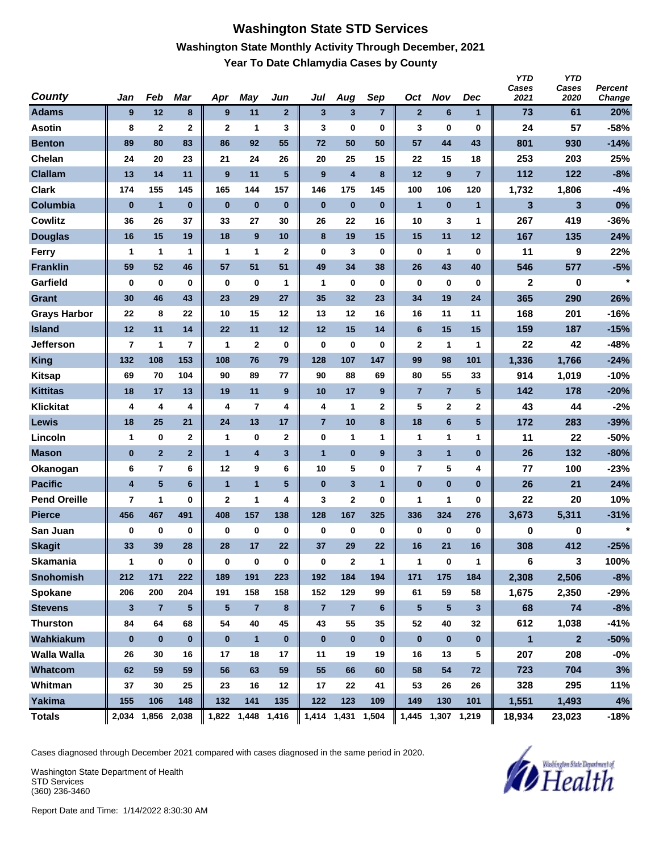#### **Washington State STD Services Washington State Monthly Activity Through December, 2021 Year To Date Chlamydia Cases by County**

| <b>County</b>       | Jan                     | Feb                     | <b>Mar</b>      | Apr            | May                     | Jun                     | Jul            | Aug                     | Sep              | Oct            | <b>Nov</b>        | <b>Dec</b>      | <b>YTD</b><br>Cases<br>2021 | <b>YTD</b><br>Cases<br>2020 | <b>Percent</b><br>Change |
|---------------------|-------------------------|-------------------------|-----------------|----------------|-------------------------|-------------------------|----------------|-------------------------|------------------|----------------|-------------------|-----------------|-----------------------------|-----------------------------|--------------------------|
| <b>Adams</b>        | 9                       | 12                      | 8               | 9              | 11                      | $\mathbf{2}$            | $\mathbf{3}$   | 3                       | $\overline{7}$   | $\mathbf{2}$   | 6                 | $\mathbf{1}$    | 73                          | 61                          | 20%                      |
| <b>Asotin</b>       | 8                       | $\mathbf{2}$            | $\mathbf 2$     | $\mathbf{2}$   | 1                       | 3                       | 3              | 0                       | $\bf{0}$         | 3              | 0                 | $\mathbf 0$     | 24                          | 57                          | -58%                     |
| <b>Benton</b>       | 89                      | 80                      | 83              | 86             | 92                      | 55                      | 72             | 50                      | 50               | 57             | 44                | 43              | 801                         | 930                         | $-14%$                   |
| Chelan              | 24                      | 20                      | 23              | 21             | 24                      | 26                      | 20             | 25                      | 15               | 22             | 15                | 18              | 253                         | 203                         | 25%                      |
| <b>Clallam</b>      | 13                      | 14                      | 11              | 9              | 11                      | 5                       | 9              | $\overline{\mathbf{4}}$ | 8                | 12             | 9                 | $\overline{7}$  | 112                         | 122                         | $-8%$                    |
| <b>Clark</b>        | 174                     | 155                     | 145             | 165            | 144                     | 157                     | 146            | 175                     | 145              | 100            | 106               | 120             | 1,732                       | 1,806                       | $-4%$                    |
| Columbia            | $\bf{0}$                | $\mathbf{1}$            | $\bf{0}$        | $\bf{0}$       | $\bf{0}$                | $\bf{0}$                | $\bf{0}$       | $\bf{0}$                | $\bf{0}$         | $\mathbf{1}$   | $\bf{0}$          | $\mathbf{1}$    | 3                           | 3                           | 0%                       |
| <b>Cowlitz</b>      | 36                      | 26                      | 37              | 33             | 27                      | 30                      | 26             | 22                      | 16               | 10             | 3                 | $\mathbf{1}$    | 267                         | 419                         | $-36%$                   |
| <b>Douglas</b>      | 16                      | 15                      | 19              | 18             | 9                       | 10                      | 8              | 19                      | 15               | 15             | 11                | 12              | 167                         | 135                         | 24%                      |
| Ferry               | 1                       | 1                       | 1               | 1              | 1                       | $\mathbf 2$             | $\mathbf 0$    | 3                       | $\bf{0}$         | 0              | 1                 | $\mathbf 0$     | 11                          | 9                           | 22%                      |
| <b>Franklin</b>     | 59                      | 52                      | 46              | 57             | 51                      | 51                      | 49             | 34                      | 38               | 26             | 43                | 40              | 546                         | 577                         | $-5%$                    |
| Garfield            | $\bf{0}$                | 0                       | 0               | $\bf{0}$       | $\bf{0}$                | 1                       | 1              | 0                       | $\bf{0}$         | 0              | $\bf{0}$          | $\mathbf 0$     | $\mathbf{2}$                | 0                           | $\star$                  |
| <b>Grant</b>        | 30                      | 46                      | 43              | 23             | 29                      | 27                      | 35             | 32                      | 23               | 34             | 19                | 24              | 365                         | 290                         | 26%                      |
| <b>Grays Harbor</b> | 22                      | 8                       | 22              | 10             | 15                      | 12                      | 13             | 12                      | 16               | 16             | 11                | 11              | 168                         | 201                         | $-16%$                   |
| <b>Island</b>       | 12                      | 11                      | 14              | 22             | 11                      | 12                      | 12             | 15                      | 14               | $6\phantom{1}$ | 15                | 15              | 159                         | 187                         | $-15%$                   |
| <b>Jefferson</b>    | 7                       | 1                       | $\overline{7}$  | 1              | $\mathbf{2}$            | 0                       | $\bf{0}$       | 0                       | 0                | 2              | 1                 | 1               | 22                          | 42                          | $-48%$                   |
| <b>King</b>         | 132                     | 108                     | 153             | 108            | 76                      | 79                      | 128            | 107                     | 147              | 99             | 98                | 101             | 1,336                       | 1,766                       | $-24%$                   |
| <b>Kitsap</b>       | 69                      | 70                      | 104             | 90             | 89                      | 77                      | 90             | 88                      | 69               | 80             | 55                | 33              | 914                         | 1,019                       | $-10%$                   |
| <b>Kittitas</b>     | 18                      | 17                      | 13              | 19             | 11                      | 9                       | 10             | 17                      | 9                | $\overline{7}$ | $\overline{7}$    | $5\phantom{.0}$ | 142                         | 178                         | $-20%$                   |
| <b>Klickitat</b>    | 4                       | 4                       | 4               | 4              | 7                       | 4                       | 4              | 1                       | 2                | 5              | 2                 | $\mathbf{2}$    | 43                          | 44                          | $-2%$                    |
| Lewis               | 18                      | 25                      | 21              | 24             | 13                      | 17                      | $\overline{7}$ | 10                      | 8                | 18             | 6                 | $5\phantom{.0}$ | 172                         | 283                         | $-39%$                   |
| Lincoln             | 1                       | $\bf{0}$                | $\mathbf 2$     | 1              | 0                       | $\mathbf 2$             | 0              | 1                       | 1                | 1              | 1                 | $\mathbf{1}$    | 11                          | 22                          | -50%                     |
| <b>Mason</b>        | $\bf{0}$                | $\overline{2}$          | $\overline{2}$  | $\overline{1}$ | $\overline{\mathbf{4}}$ | $\overline{\mathbf{3}}$ | $\overline{1}$ | $\bf{0}$                | $\boldsymbol{9}$ | 3              | $\mathbf{1}$      | $\bf{0}$        | 26                          | 132                         | $-80%$                   |
| Okanogan            | 6                       | $\overline{\mathbf{r}}$ | 6               | 12             | 9                       | 6                       | 10             | 5                       | $\bf{0}$         | $\overline{7}$ | 5                 | 4               | 77                          | 100                         | $-23%$                   |
| <b>Pacific</b>      | $\overline{\mathbf{4}}$ | $5\phantom{.0}$         | 6               | $\mathbf{1}$   | $\overline{1}$          | $5\phantom{.0}$         | $\bf{0}$       | 3                       | $\mathbf{1}$     | $\bf{0}$       | $\bf{0}$          | $\bf{0}$        | 26                          | 21                          | 24%                      |
| <b>Pend Oreille</b> | 7                       | 1                       | 0               | $\mathbf{2}$   | 1                       | 4                       | 3              | $\mathbf 2$             | 0                | 1              | 1                 | 0               | 22                          | 20                          | 10%                      |
| <b>Pierce</b>       | 456                     | 467                     | 491             | 408            | 157                     | 138                     | 128            | 167                     | 325              | 336            | 324               | 276             | 3,673                       | 5,311                       | $-31%$                   |
| San Juan            | 0                       | 0                       | 0               | 0              | 0                       | $\bf{0}$                | 0              | 0                       | $\bf{0}$         | 0              | 0                 | $\mathbf 0$     | 0                           | 0                           | $\star$                  |
| <b>Skagit</b>       | 33                      | 39                      | 28              | 28             | 17                      | 22                      | 37             | 29                      | 22               | 16             | 21                | 16              | 308                         | 412                         | $-25%$                   |
| <b>Skamania</b>     | $\mathbf{1}$            | $\pmb{0}$               | 0               | 0              | $\bf{0}$                | $\pmb{0}$               | $\pmb{0}$      | $\mathbf{2}$            | $\mathbf{1}$     | $\mathbf{1}$   | $\bf{0}$          | $\mathbf{1}$    | 6                           | 3                           | 100%                     |
| <b>Snohomish</b>    | 212                     | 171                     | 222             | 189            | 191                     | 223                     | 192            | 184                     | 194              | 171            | 175               | 184             | 2,308                       | 2,506                       | $-8%$                    |
| <b>Spokane</b>      | 206                     | 200                     | 204             | 191            | 158                     | 158                     | 152            | 129                     | 99               | 61             | 59                | 58              | 1,675                       | 2,350                       | $-29%$                   |
| <b>Stevens</b>      | 3                       | $\overline{7}$          | $5\phantom{.0}$ | $\sqrt{5}$     | $\overline{7}$          | $\bf{8}$                | $\overline{7}$ | $\overline{7}$          | 6                | 5              | 5                 | $\mathbf{3}$    | 68                          | 74                          | $-8%$                    |
| <b>Thurston</b>     | 84                      | 64                      | 68              | 54             | 40                      | 45                      | 43             | 55                      | 35               | 52             | 40                | 32              | 612                         | 1,038                       | $-41%$                   |
| Wahkiakum           | $\bf{0}$                | $\bf{0}$                | $\mathbf{0}$    | $\bf{0}$       | $\mathbf{1}$            | $\bf{0}$                | $\bf{0}$       | $\pmb{0}$               | $\mathbf 0$      | $\bf{0}$       | $\pmb{0}$         | $\mathbf 0$     | $\blacksquare$              | $\overline{2}$              | $-50%$                   |
| <b>Walla Walla</b>  | 26                      | 30                      | 16              | 17             | 18                      | 17                      | 11             | 19                      | 19               | 16             | 13                | 5               | 207                         | 208                         | $-0%$                    |
| Whatcom             | 62                      | 59                      | 59              | 56             | 63                      | 59                      | 55             | 66                      | 60               | 58             | 54                | 72              | 723                         | 704                         | 3%                       |
| Whitman             | 37                      | 30                      | 25              | 23             | 16                      | 12                      | 17             | 22                      | 41               | 53             | 26                | 26              | 328                         | 295                         | 11%                      |
| <b>Yakima</b>       | 155                     | 106                     | 148             | 132            | 141                     | 135                     | 122            | 123                     | 109              | 149            | 130               | 101             | 1,551                       | 1,493                       | 4%                       |
| <b>Totals</b>       |                         | 2,034 1,856 2,038       |                 |                | 1,822 1,448 1,416       |                         |                | 1,414 1,431 1,504       |                  |                | 1,445 1,307 1,219 |                 | 18,934                      | 23,023                      | $-18%$                   |

Cases diagnosed through December 2021 compared with cases diagnosed in the same period in 2020.

Washington State Department of Health STD Services (360) 236-3460

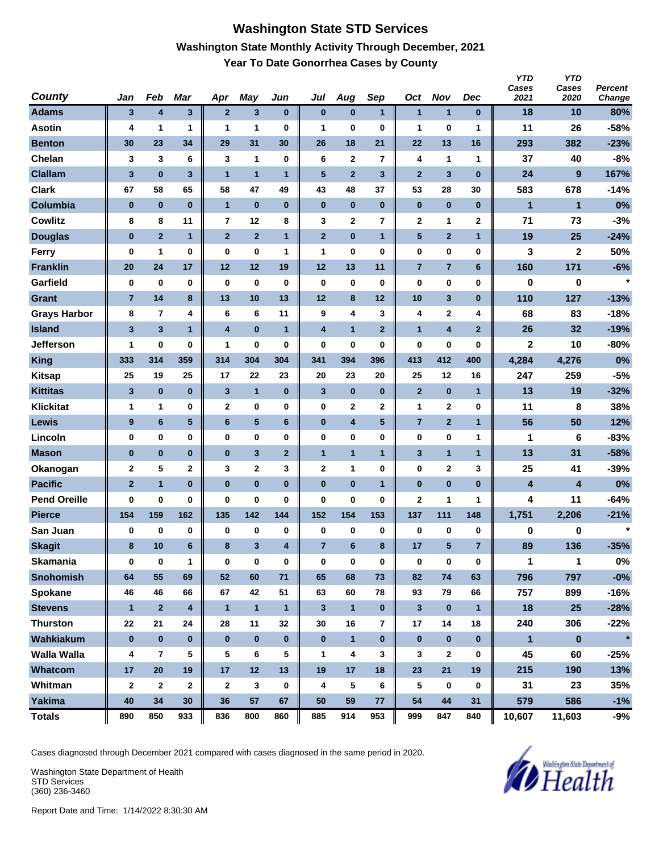### **Washington State STD Services Washington State Monthly Activity Through December, 2021 Year To Date Gonorrhea Cases by County**

| <b>County</b>       | Jan                     | Feb                     | Mar                     | Apr                     | May                     | Jun                     | Jul                     | Aug            | Sep                     | Oct            | <b>Nov</b>              | <b>Dec</b>     | <b>YTD</b><br>Cases<br>2021 | <b>YTD</b><br>Cases<br>2020 | <b>Percent</b><br>Change |
|---------------------|-------------------------|-------------------------|-------------------------|-------------------------|-------------------------|-------------------------|-------------------------|----------------|-------------------------|----------------|-------------------------|----------------|-----------------------------|-----------------------------|--------------------------|
| <b>Adams</b>        | 3                       | 4                       | $\mathbf{3}$            | $\mathbf{2}$            | $\mathbf{3}$            | $\bf{0}$                | $\bf{0}$                | $\bf{0}$       | $\mathbf{1}$            | $\mathbf{1}$   | $\mathbf{1}$            | $\bf{0}$       | 18                          | 10                          | 80%                      |
| <b>Asotin</b>       | 4                       | 1                       | 1                       | 1                       | 1                       | 0                       | 1                       | 0              | $\bf{0}$                | 1              | 0                       | 1              | 11                          | 26                          | -58%                     |
| <b>Benton</b>       | 30                      | 23                      | 34                      | 29                      | 31                      | 30                      | 26                      | 18             | 21                      | 22             | 13                      | 16             | 293                         | 382                         | $-23%$                   |
| Chelan              | 3                       | 3                       | 6                       | 3                       | 1                       | $\bf{0}$                | 6                       | $\mathbf{2}$   | $\overline{7}$          | 4              | 1                       | 1              | 37                          | 40                          | $-8%$                    |
| <b>Clallam</b>      | $\overline{\mathbf{3}}$ | $\bf{0}$                | 3                       | $\overline{1}$          | $\overline{1}$          | $\mathbf{1}$            | 5                       | $\overline{2}$ | $\mathbf{3}$            | $\overline{2}$ | 3                       | $\bf{0}$       | 24                          | $\boldsymbol{9}$            | 167%                     |
| <b>Clark</b>        | 67                      | 58                      | 65                      | 58                      | 47                      | 49                      | 43                      | 48             | 37                      | 53             | 28                      | 30             | 583                         | 678                         | $-14%$                   |
| Columbia            | $\bf{0}$                | $\bf{0}$                | $\bf{0}$                | $\overline{1}$          | $\bf{0}$                | $\bf{0}$                | $\bf{0}$                | $\bf{0}$       | $\bf{0}$                | $\bf{0}$       | $\bf{0}$                | $\bf{0}$       | $\mathbf{1}$                | $\mathbf{1}$                | 0%                       |
| <b>Cowlitz</b>      | 8                       | 8                       | 11                      | 7                       | 12                      | 8                       | 3                       | $\mathbf{2}$   | $\overline{\mathbf{r}}$ | 2              | 1                       | $\mathbf{2}$   | 71                          | 73                          | $-3%$                    |
| <b>Douglas</b>      | $\bf{0}$                | $\overline{2}$          | $\mathbf{1}$            | $\mathbf{2}$            | $\mathbf{2}$            | $\mathbf{1}$            | $\mathbf{2}$            | $\bf{0}$       | 1                       | $\sqrt{5}$     | $\overline{2}$          | $\mathbf{1}$   | 19                          | 25                          | $-24%$                   |
| Ferry               | $\bf{0}$                | 1                       | 0                       | 0                       | $\bf{0}$                | 1                       | 1                       | 0              | 0                       | 0              | $\bf{0}$                | $\mathbf 0$    | 3                           | 2                           | 50%                      |
| <b>Franklin</b>     | 20                      | 24                      | 17                      | 12                      | 12                      | 19                      | 12                      | 13             | 11                      | $\overline{7}$ | $\overline{7}$          | 6              | 160                         | 171                         | $-6%$                    |
| Garfield            | $\bf{0}$                | 0                       | 0                       | $\bf{0}$                | $\bf{0}$                | $\bf{0}$                | $\bf{0}$                | 0              | $\bf{0}$                | 0              | 0                       | $\mathbf 0$    | 0                           | 0                           | $\star$                  |
| <b>Grant</b>        | $\overline{7}$          | 14                      | 8                       | 13                      | 10                      | 13                      | 12                      | 8              | 12                      | 10             | 3                       | $\bf{0}$       | 110                         | 127                         | $-13%$                   |
| <b>Grays Harbor</b> | 8                       | $\overline{7}$          | 4                       | 6                       | 6                       | 11                      | 9                       | 4              | 3                       | 4              | 2                       | 4              | 68                          | 83                          | $-18%$                   |
| <b>Island</b>       | $\overline{\mathbf{3}}$ | $\overline{\mathbf{3}}$ | $\mathbf{1}$            | $\overline{\mathbf{4}}$ | $\bf{0}$                | $\mathbf{1}$            | $\overline{\mathbf{4}}$ | $\mathbf{1}$   | $\mathbf{2}$            | $\mathbf{1}$   | 4                       | $\overline{2}$ | 26                          | 32                          | $-19%$                   |
| <b>Jefferson</b>    | 1                       | 0                       | 0                       | 1                       | $\bf{0}$                | 0                       | $\bf{0}$                | 0              | 0                       | 0              | 0                       | 0              | $\mathbf{2}$                | 10                          | $-80%$                   |
| <b>King</b>         | 333                     | 314                     | 359                     | 314                     | 304                     | 304                     | 341                     | 394            | 396                     | 413            | 412                     | 400            | 4,284                       | 4,276                       | 0%                       |
| <b>Kitsap</b>       | 25                      | 19                      | 25                      | 17                      | 22                      | 23                      | 20                      | 23             | 20                      | 25             | 12                      | 16             | 247                         | 259                         | $-5%$                    |
| <b>Kittitas</b>     | 3                       | $\pmb{0}$               | $\bf{0}$                | 3                       | $\mathbf{1}$            | $\bf{0}$                | 3                       | $\bf{0}$       | $\bf{0}$                | $\overline{2}$ | $\bf{0}$                | $\mathbf{1}$   | 13                          | 19                          | $-32%$                   |
| <b>Klickitat</b>    | $\mathbf 1$             | 1                       | 0                       | $\mathbf{2}$            | $\bf{0}$                | 0                       | $\bf{0}$                | $\mathbf{2}$   | 2                       | 1              | 2                       | $\mathbf 0$    | 11                          | 8                           | 38%                      |
| Lewis               | 9                       | $6\phantom{1}$          | 5                       | $6\phantom{1}$          | $\overline{\mathbf{5}}$ | 6                       | $\bf{0}$                | 4              | 5                       | $\overline{7}$ | $\overline{\mathbf{2}}$ | $\mathbf{1}$   | 56                          | 50                          | 12%                      |
| Lincoln             | $\bf{0}$                | 0                       | 0                       | 0                       | $\bf{0}$                | 0                       | $\bf{0}$                | 0              | $\bf{0}$                | 0              | 0                       | 1              | 1                           | 6                           | $-83%$                   |
| <b>Mason</b>        | $\bf{0}$                | $\pmb{0}$               | $\bf{0}$                | $\bf{0}$                | 3                       | $\mathbf{2}$            | $\mathbf{1}$            | $\mathbf{1}$   | $\mathbf{1}$            | 3              | $\mathbf{1}$            | $\mathbf{1}$   | 13                          | 31                          | $-58%$                   |
| Okanogan            | $\mathbf{2}$            | 5                       | 2                       | 3                       | 2                       | 3                       | $\mathbf{2}$            | 1              | $\bf{0}$                | 0              | 2                       | 3              | 25                          | 41                          | $-39%$                   |
| <b>Pacific</b>      | $\overline{2}$          | $\mathbf{1}$            | $\bf{0}$                | $\bf{0}$                | $\bf{0}$                | $\bf{0}$                | $\bf{0}$                | $\bf{0}$       | 1                       | $\bf{0}$       | $\bf{0}$                | $\bf{0}$       | 4                           | 4                           | 0%                       |
| <b>Pend Oreille</b> | 0                       | 0                       | 0                       | 0                       | $\bf{0}$                | 0                       | $\bf{0}$                | 0              | 0                       | $\mathbf 2$    | 1                       | 1              | 4                           | 11                          | $-64%$                   |
| <b>Pierce</b>       | 154                     | 159                     | 162                     | 135                     | 142                     | 144                     | 152                     | 154            | 153                     | 137            | 111                     | 148            | 1,751                       | 2,206                       | $-21%$                   |
| San Juan            | $\bf{0}$                | 0                       | 0                       | 0                       | 0                       | $\bf{0}$                | 0                       | 0              | $\pmb{0}$               | 0              | 0                       | 0              | 0                           | 0                           | $\star$                  |
| <b>Skagit</b>       | 8                       | 10                      | 6                       | 8                       | 3                       | $\overline{\mathbf{4}}$ | $\overline{7}$          | $6\phantom{1}$ | 8                       | 17             | 5                       | $\overline{7}$ | 89                          | 136                         | $-35%$                   |
| <b>Skamania</b>     | $\bf{0}$                | $\pmb{0}$               | 1                       | $\bf{0}$                | $\bf{0}$                | $\pmb{0}$               | $\pmb{0}$               | 0              | $\bf{0}$                | 0              | $\pmb{0}$               | $\pmb{0}$      | $\mathbf{1}$                | $\mathbf{1}$                | $0\%$                    |
| <b>Snohomish</b>    | 64                      | 55                      | 69                      | 52                      | 60                      | 71                      | 65                      | 68             | 73                      | 82             | 74                      | 63             | 796                         | 797                         | $-0%$                    |
| Spokane             | 46                      | 46                      | 66                      | 67                      | 42                      | 51                      | 63                      | 60             | 78                      | 93             | 79                      | 66             | 757                         | 899                         | $-16%$                   |
| <b>Stevens</b>      | $\mathbf{1}$            | $\mathbf{2}$            | $\overline{\mathbf{4}}$ | $\mathbf{1}$            | $\mathbf{1}$            | $\mathbf{1}$            | $\mathbf{3}$            | $\mathbf{1}$   | $\pmb{0}$               | $\mathbf{3}$   | $\pmb{0}$               | $\mathbf{1}$   | 18                          | 25                          | $-28%$                   |
| <b>Thurston</b>     | 22                      | 21                      | 24                      | 28                      | 11                      | 32                      | 30                      | 16             | $\overline{\mathbf{r}}$ | 17             | 14                      | 18             | 240                         | 306                         | $-22%$                   |
| Wahkiakum           | $\pmb{0}$               | $\bf{0}$                | $\mathbf{0}$            | $\bf{0}$                | $\pmb{0}$               | $\bf{0}$                | $\bf{0}$                | $\mathbf{1}$   | $\pmb{0}$               | $\bf{0}$       | $\pmb{0}$               | $\bf{0}$       | $\mathbf{1}$                | $\bf{0}$                    | $\star$                  |
| <b>Walla Walla</b>  | 4                       | $\overline{\mathbf{r}}$ | 5                       | 5                       | 6                       | 5                       | $\mathbf 1$             | 4              | 3                       | 3              | $\mathbf{2}$            | 0              | 45                          | 60                          | $-25%$                   |
| Whatcom             | 17                      | 20                      | 19                      | 17                      | 12                      | 13                      | 19                      | 17             | 18                      | 23             | 21                      | 19             | 215                         | 190                         | 13%                      |
| Whitman             | $\boldsymbol{2}$        | $\mathbf{2}$            | $\mathbf 2$             | $\mathbf{2}$            | $\mathbf{3}$            | $\bf{0}$                | 4                       | 5              | 6                       | 5              | $\boldsymbol{0}$        | 0              | 31                          | 23                          | 35%                      |
| Yakima              | 40                      | 34                      | 30                      | 36                      | 57                      | 67                      | 50                      | 59             | 77                      | 54             | $\bf 44$                | 31             | 579                         | 586                         | $-1%$                    |
| <b>Totals</b>       | 890                     | 850                     | 933                     | 836                     | 800                     | 860                     | 885                     | 914            | 953                     | 999            | 847                     | 840            | 10,607                      | 11,603                      | $-9%$                    |

Cases diagnosed through December 2021 compared with cases diagnosed in the same period in 2020.

Washington State Department of Health STD Services (360) 236-3460

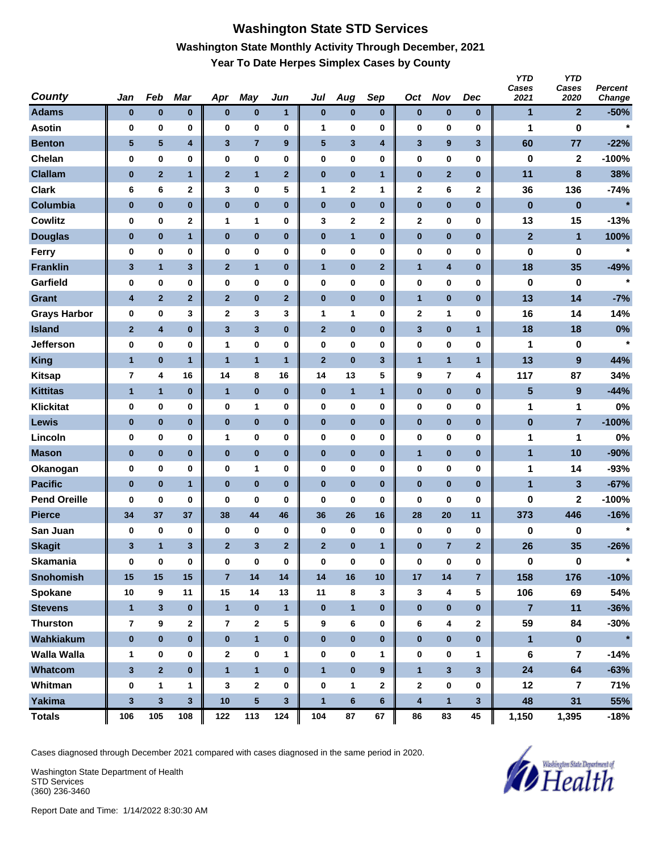# **Washington State STD Services Washington State Monthly Activity Through December, 2021 Year To Date Herpes Simplex Cases by County**

| <b>County</b>       | Jan             | Feb                     | Mar                     | Apr            | <b>May</b>              | Jun            | Jul            | Aug            | Sep                     | Oct          | <b>Nov</b>              | <b>Dec</b>              | <b>YTD</b><br>Cases<br>2021 | <b>YTD</b><br>Cases<br>2020 | Percent<br>Change |
|---------------------|-----------------|-------------------------|-------------------------|----------------|-------------------------|----------------|----------------|----------------|-------------------------|--------------|-------------------------|-------------------------|-----------------------------|-----------------------------|-------------------|
| <b>Adams</b>        | $\pmb{0}$       | $\bf{0}$                | $\bf{0}$                | $\bf{0}$       | $\bf{0}$                | $\mathbf{1}$   | $\pmb{0}$      | $\bf{0}$       | $\bf{0}$                | $\bf{0}$     | $\bf{0}$                | $\bf{0}$                | 1                           | $\mathbf{2}$                | $-50%$            |
| <b>Asotin</b>       | 0               | 0                       | 0                       | 0              | 0                       | 0              | 1              | 0              | 0                       | 0            | 0                       | $\bf{0}$                | 1                           | 0                           | $\star$           |
| <b>Benton</b>       | $5\phantom{.0}$ | $5\phantom{.0}$         | $\overline{\mathbf{4}}$ | $\mathbf{3}$   | $\overline{7}$          | 9              | 5              | 3              | $\overline{\mathbf{4}}$ | 3            | 9                       | $\overline{\mathbf{3}}$ | 60                          | 77                          | $-22%$            |
| Chelan              | 0               | 0                       | 0                       | 0              | $\bf{0}$                | 0              | 0              | 0              | 0                       | 0            | $\bf{0}$                | 0                       | 0                           | $\mathbf{2}$                | $-100%$           |
| <b>Clallam</b>      | $\bf{0}$        | $\overline{2}$          | $\mathbf{1}$            | $\overline{2}$ | $\mathbf{1}$            | $\overline{2}$ | $\bf{0}$       | $\bf{0}$       | $\mathbf{1}$            | $\pmb{0}$    | $\overline{2}$          | $\bf{0}$                | 11                          | 8                           | 38%               |
| <b>Clark</b>        | 6               | 6                       | 2                       | 3              | $\bf{0}$                | 5              | 1              | 2              | 1                       | 2            | 6                       | $\mathbf{2}$            | 36                          | 136                         | $-74%$            |
| Columbia            | $\bf{0}$        | $\bf{0}$                | $\bf{0}$                | $\bf{0}$       | $\bf{0}$                | $\bf{0}$       | $\bf{0}$       | $\bf{0}$       | $\bf{0}$                | $\pmb{0}$    | $\bf{0}$                | $\bf{0}$                | $\bf{0}$                    | $\bf{0}$                    | $\star$           |
| <b>Cowlitz</b>      | 0               | 0                       | 2                       | 1              | $\mathbf{1}$            | 0              | 3              | $\mathbf 2$    | $\mathbf 2$             | 2            | $\bf{0}$                | 0                       | 13                          | 15                          | $-13%$            |
| <b>Douglas</b>      | $\bf{0}$        | $\bf{0}$                | 1                       | $\pmb{0}$      | $\bf{0}$                | $\pmb{0}$      | $\pmb{0}$      | $\mathbf{1}$   | $\bf{0}$                | $\bf{0}$     | $\bf{0}$                | $\bf{0}$                | $\mathbf{2}$                | $\mathbf{1}$                | 100%              |
| Ferry               | 0               | 0                       | 0                       | 0              | $\bf{0}$                | 0              | 0              | 0              | 0                       | 0            | $\bf{0}$                | 0                       | 0                           | 0                           | $\star$           |
| <b>Franklin</b>     | 3               | $\mathbf{1}$            | $\mathbf{3}$            | $\mathbf{2}$   | $\mathbf{1}$            | $\bf{0}$       | $\mathbf{1}$   | $\bf{0}$       | $\mathbf{2}$            | $\mathbf{1}$ | 4                       | $\bf{0}$                | 18                          | 35                          | $-49%$            |
| Garfield            | 0               | 0                       | 0                       | 0              | $\bf{0}$                | 0              | 0              | 0              | 0                       | 0            | $\bf{0}$                | $\bf{0}$                | 0                           | 0                           | $\star$           |
| <b>Grant</b>        | 4               | $\overline{2}$          | $\overline{2}$          | $\overline{2}$ | $\bf{0}$                | $\overline{2}$ | $\pmb{0}$      | $\bf{0}$       | $\bf{0}$                | $\mathbf{1}$ | $\bf{0}$                | $\bf{0}$                | 13                          | 14                          | $-7%$             |
| <b>Grays Harbor</b> | 0               | 0                       | 3                       | 2              | 3                       | 3              | 1              | 1              | 0                       | 2            | 1                       | 0                       | 16                          | 14                          | 14%               |
| <b>Island</b>       | $\mathbf{2}$    | 4                       | $\bf{0}$                | 3              | 3                       | $\bf{0}$       | $\overline{2}$ | $\bf{0}$       | $\bf{0}$                | 3            | $\bf{0}$                | $\mathbf{1}$            | 18                          | 18                          | 0%                |
| Jefferson           | 0               | 0                       | 0                       | 1              | $\bf{0}$                | 0              | 0              | 0              | $\bf{0}$                | 0            | 0                       | 0                       | 1                           | 0                           | $\star$           |
| <b>King</b>         | $\mathbf{1}$    | $\bf{0}$                | $\mathbf{1}$            | $\overline{1}$ | $\mathbf{1}$            | $\mathbf{1}$   | $\overline{2}$ | $\bf{0}$       | $\mathbf{3}$            | $\mathbf{1}$ | $\mathbf{1}$            | $\overline{1}$          | 13                          | 9                           | 44%               |
| <b>Kitsap</b>       | 7               | 4                       | 16                      | 14             | 8                       | 16             | 14             | 13             | 5                       | 9            | 7                       | 4                       | 117                         | 87                          | 34%               |
| <b>Kittitas</b>     | $\mathbf{1}$    | $\mathbf{1}$            | $\bf{0}$                | $\mathbf{1}$   | $\bf{0}$                | $\bf{0}$       | $\bf{0}$       | $\mathbf{1}$   | $\mathbf{1}$            | $\bf{0}$     | $\bf{0}$                | $\bf{0}$                | 5                           | $\overline{9}$              | $-44%$            |
| <b>Klickitat</b>    | 0               | 0                       | 0                       | 0              | 1                       | 0              | 0              | 0              | 0                       | 0            | 0                       | 0                       | 1                           | 1                           | 0%                |
| Lewis               | $\bf{0}$        | $\pmb{0}$               | $\bf{0}$                | $\pmb{0}$      | $\pmb{0}$               | $\pmb{0}$      | $\pmb{0}$      | $\bf{0}$       | $\bf{0}$                | $\bf{0}$     | $\bf{0}$                | $\bf{0}$                | $\bf{0}$                    | $\overline{7}$              | $-100%$           |
| Lincoln             | 0               | 0                       | 0                       | 1              | 0                       | 0              | 0              | 0              | 0                       | 0            | $\bf{0}$                | $\bf{0}$                | 1                           | 1                           | 0%                |
| <b>Mason</b>        | $\bf{0}$        | $\pmb{0}$               | $\bf{0}$                | $\bf{0}$       | $\bf{0}$                | $\bf{0}$       | $\pmb{0}$      | $\bf{0}$       | $\bf{0}$                | $\mathbf{1}$ | $\bf{0}$                | $\bf{0}$                | $\mathbf{1}$                | 10                          | $-90%$            |
| Okanogan            | 0               | 0                       | $\bf{0}$                | 0              | 1                       | 0              | 0              | 0              | $\bf{0}$                | 0            | $\bf{0}$                | 0                       | 1                           | 14                          | $-93%$            |
| <b>Pacific</b>      | $\bf{0}$        | $\bf{0}$                | $\mathbf{1}$            | $\bf{0}$       | $\bf{0}$                | $\bf{0}$       | $\bf{0}$       | $\bf{0}$       | $\bf{0}$                | $\bf{0}$     | $\bf{0}$                | $\bf{0}$                | $\mathbf{1}$                | 3                           | $-67%$            |
| <b>Pend Oreille</b> | $\bf{0}$        | 0                       | $\bf{0}$                | $\bf{0}$       | $\bf{0}$                | 0              | $\bf{0}$       | 0              | 0                       | 0            | 0                       | 0                       | 0                           | 2                           | $-100%$           |
| <b>Pierce</b>       | 34              | 37                      | 37                      | 38             | 44                      | 46             | 36             | 26             | 16                      | 28           | 20                      | 11                      | 373                         | 446                         | $-16%$            |
| San Juan            | 0               | 0                       | 0                       | 0              | 0                       | 0              | 0              | 0              | $\bf{0}$                | 0            | $\bf{0}$                | 0                       | 0                           | 0                           |                   |
| <b>Skagit</b>       | 3               | $\mathbf{1}$            | 3                       | $\overline{2}$ | 3                       | $\overline{2}$ | $\overline{2}$ | $\bf{0}$       | $\mathbf{1}$            | $\bf{0}$     | $\overline{7}$          | $\overline{2}$          | 26                          | 35                          | $-26%$            |
| <b>Skamania</b>     | $\bf{0}$        | $\bf{0}$                | $\pmb{0}$               | $\bf{0}$       | $\pmb{0}$               | $\bf{0}$       | 0              | $\pmb{0}$      | $\bf{0}$                | $\bf{0}$     | $\pmb{0}$               | 0                       | 0                           | $\pmb{0}$                   | $\star$           |
| <b>Snohomish</b>    | 15              | 15                      | 15                      | $\overline{7}$ | 14                      | 14             | 14             | 16             | 10                      | 17           | 14                      | $\overline{7}$          | 158                         | 176                         | $-10%$            |
| Spokane             | 10              | 9                       | 11                      | 15             | 14                      | 13             | 11             | 8              | 3                       | 3            | 4                       | 5                       | 106                         | 69                          | 54%               |
| <b>Stevens</b>      | $\mathbf{1}$    | $\mathbf{3}$            | $\pmb{0}$               | $\mathbf{1}$   | $\pmb{0}$               | $\mathbf{1}$   | $\pmb{0}$      | $\mathbf{1}$   | $\bf{0}$                | $\pmb{0}$    | $\pmb{0}$               | $\bf{0}$                | $\overline{7}$              | 11                          | $-36%$            |
| <b>Thurston</b>     | 7               | 9                       | 2                       | 7              | $\mathbf{2}$            | 5              | 9              | 6              | 0                       | 6            | 4                       | $\mathbf{2}$            | 59                          | 84                          | $-30%$            |
| Wahkiakum           | $\pmb{0}$       | $\bf{0}$                | $\bf{0}$                | $\bf{0}$       | $\mathbf{1}$            | $\bf{0}$       | $\bf{0}$       | $\mathbf{0}$   | $\bf{0}$                | $\bf{0}$     | $\pmb{0}$               | $\bf{0}$                | $\mathbf{1}$                | $\pmb{0}$                   | $\star$           |
| <b>Walla Walla</b>  | 1               | 0                       | 0                       | $\mathbf{2}$   | $\pmb{0}$               | 1              | 0              | 0              | $\mathbf 1$             | 0            | 0                       | 1                       | 6                           | $\overline{\mathbf{r}}$     | $-14%$            |
| Whatcom             | $\mathbf{3}$    | $\overline{\mathbf{2}}$ | $\bf{0}$                | $\mathbf{1}$   | $\overline{\mathbf{1}}$ | $\bf{0}$       | $\mathbf{1}$   | $\mathbf 0$    | 9                       | $\mathbf{1}$ | $\overline{\mathbf{3}}$ | $\mathbf{3}$            | 24                          | 64                          | $-63%$            |
| Whitman             | 0               | 1                       | 1                       | 3              | $\mathbf{2}$            | 0              | 0              | 1              | $\mathbf{2}$            | $\mathbf{2}$ | $\pmb{0}$               | 0                       | 12                          | 7                           | 71%               |
| Yakima              | $\mathbf{3}$    | $\mathbf{3}$            | 3 <sup>5</sup>          | 10             | $\overline{\mathbf{5}}$ | $\mathbf{3}$   | $\overline{1}$ | $6\phantom{a}$ | $6\phantom{1}$          | 4            | $\mathbf{1}$            | $\mathbf{3}$            | 48                          | 31                          | 55%               |
| <b>Totals</b>       | 106             | 105                     | 108                     | 122            | 113                     | 124            | 104            | 87             | 67                      | 86           | 83                      | 45                      | 1,150                       | 1,395                       | $-18%$            |

Cases diagnosed through December 2021 compared with cases diagnosed in the same period in 2020.

Washington State Department of Health STD Services (360) 236-3460

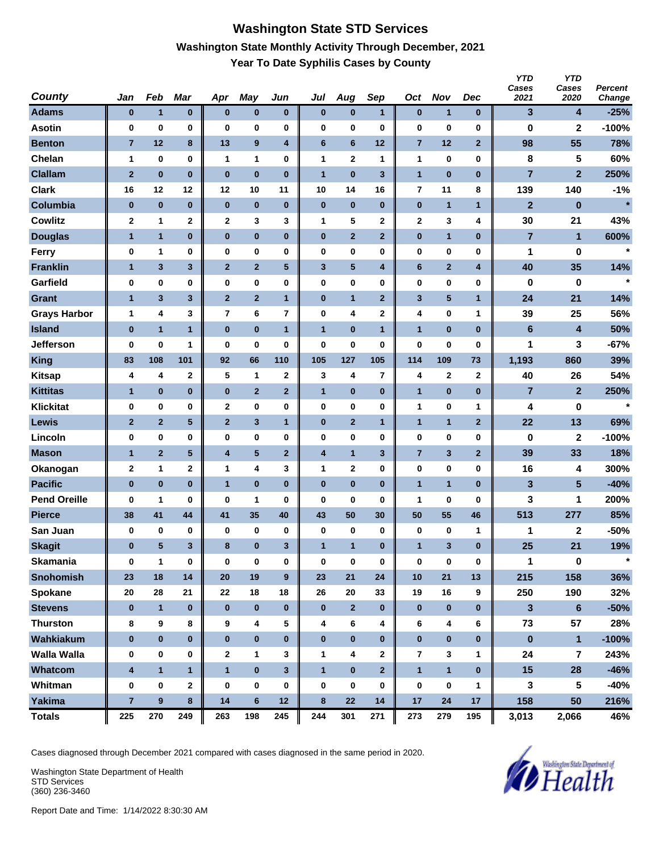#### **Washington State STD Services Washington State Monthly Activity Through December, 2021 Year To Date Syphilis Cases by County**

| <b>County</b>       | Jan                     | Feb              | Mar            | Apr                     | May              | Jun            | Jul                     | Aug            | Sep                     | Oct            | <b>Nov</b>              | <b>Dec</b>              | <b>YTD</b><br>Cases<br>2021 | <b>YTD</b><br>Cases<br>2020 | <b>Percent</b><br>Change |
|---------------------|-------------------------|------------------|----------------|-------------------------|------------------|----------------|-------------------------|----------------|-------------------------|----------------|-------------------------|-------------------------|-----------------------------|-----------------------------|--------------------------|
| <b>Adams</b>        | $\bf{0}$                | $\mathbf{1}$     | $\bf{0}$       | $\bf{0}$                | $\pmb{0}$        | $\pmb{0}$      | $\bf{0}$                | $\bf{0}$       | $\mathbf{1}$            | $\bf{0}$       | $\mathbf{1}$            | $\bf{0}$                | 3                           | 4                           | $-25%$                   |
| <b>Asotin</b>       | $\bf{0}$                | 0                | 0              | 0                       | 0                | 0              | $\bf{0}$                | 0              | $\bf{0}$                | 0              | $\bf{0}$                | 0                       | 0                           | 2                           | $-100%$                  |
| <b>Benton</b>       | $\overline{7}$          | 12               | 8              | 13                      | $\boldsymbol{9}$ | 4              | $6\phantom{1}6$         | 6              | 12                      | $\overline{7}$ | 12                      | $\mathbf{2}$            | 98                          | 55                          | 78%                      |
| Chelan              | $\mathbf 1$             | 0                | 0              | $\mathbf{1}$            | $\mathbf{1}$     | 0              | $\mathbf{1}$            | $\mathbf 2$    | 1                       | 1              | 0                       | 0                       | 8                           | 5                           | 60%                      |
| <b>Clallam</b>      | $\overline{2}$          | $\bf{0}$         | $\bf{0}$       | $\bf{0}$                | $\bf{0}$         | $\bf{0}$       | $\overline{1}$          | $\bf{0}$       | 3                       | $\mathbf{1}$   | $\bf{0}$                | $\bf{0}$                | $\overline{7}$              | $\mathbf{2}$                | 250%                     |
| <b>Clark</b>        | 16                      | 12               | 12             | 12                      | 10               | 11             | 10                      | 14             | 16                      | 7              | 11                      | 8                       | 139                         | 140                         | $-1%$                    |
| Columbia            | $\bf{0}$                | $\pmb{0}$        | $\bf{0}$       | $\bf{0}$                | $\bf{0}$         | $\bf{0}$       | $\bf{0}$                | $\bf{0}$       | $\bf{0}$                | $\pmb{0}$      | $\mathbf{1}$            | $\mathbf{1}$            | $\mathbf{2}$                | $\bf{0}$                    | $\star$                  |
| <b>Cowlitz</b>      | $\boldsymbol{2}$        | 1                | $\mathbf 2$    | $\mathbf{2}$            | 3                | 3              | $\mathbf{1}$            | 5              | $\mathbf 2$             | 2              | 3                       | 4                       | 30                          | 21                          | 43%                      |
| <b>Douglas</b>      | $\mathbf{1}$            | $\mathbf{1}$     | $\bf{0}$       | $\pmb{0}$               | $\bf{0}$         | $\pmb{0}$      | $\bf{0}$                | $\overline{2}$ | $\overline{\mathbf{2}}$ | $\bf{0}$       | $\mathbf{1}$            | $\bf{0}$                | $\overline{7}$              | 1                           | 600%                     |
| <b>Ferry</b>        | $\bf{0}$                | 1                | 0              | 0                       | $\bf{0}$         | 0              | $\bf{0}$                | 0              | 0                       | 0              | 0                       | 0                       | 1                           | 0                           | $\star$                  |
| <b>Franklin</b>     | $\mathbf{1}$            | $\mathbf{3}$     | 3              | $\mathbf{2}$            | $\mathbf{2}$     | $\sqrt{5}$     | $\mathbf{3}$            | $\sqrt{5}$     | 4                       | 6              | $\overline{\mathbf{2}}$ | $\overline{\mathbf{4}}$ | 40                          | 35                          | 14%                      |
| Garfield            | $\bf{0}$                | 0                | 0              | 0                       | $\bf{0}$         | 0              | $\bf{0}$                | 0              | $\bf{0}$                | 0              | 0                       | 0                       | 0                           | 0                           | $\star$                  |
| <b>Grant</b>        | $\mathbf{1}$            | $\mathbf{3}$     | 3              | $\mathbf{2}$            | $\overline{2}$   | $\mathbf{1}$   | $\bf{0}$                | $\mathbf{1}$   | $\mathbf{2}$            | 3              | 5                       | $\mathbf{1}$            | 24                          | 21                          | 14%                      |
| <b>Grays Harbor</b> | $\mathbf 1$             | 4                | 3              | 7                       | 6                | 7              | $\pmb{0}$               | 4              | 2                       | 4              | 0                       | 1                       | 39                          | 25                          | 56%                      |
| <b>Island</b>       | $\pmb{0}$               | $\mathbf{1}$     | $\mathbf{1}$   | $\bf{0}$                | $\bf{0}$         | $\mathbf{1}$   | $\overline{1}$          | $\bf{0}$       | $\mathbf{1}$            | $\mathbf{1}$   | $\bf{0}$                | $\bf{0}$                | $6\phantom{1}$              | 4                           | 50%                      |
| <b>Jefferson</b>    | 0                       | 0                | 1              | 0                       | $\bf{0}$         | 0              | $\bf{0}$                | 0              | 0                       | 0              | $\bf{0}$                | 0                       | 1                           | 3                           | $-67%$                   |
| <b>King</b>         | 83                      | 108              | 101            | 92                      | 66               | 110            | 105                     | 127            | 105                     | 114            | 109                     | 73                      | 1,193                       | 860                         | 39%                      |
| <b>Kitsap</b>       | 4                       | 4                | $\mathbf 2$    | 5                       | 1                | 2              | 3                       | 4              | $\overline{\mathbf{r}}$ | 4              | 2                       | $\mathbf{2}$            | 40                          | 26                          | 54%                      |
| <b>Kittitas</b>     | $\mathbf{1}$            | $\pmb{0}$        | $\bf{0}$       | $\pmb{0}$               | $\overline{2}$   | $\overline{2}$ | 1                       | $\bf{0}$       | $\bf{0}$                | $\mathbf{1}$   | 0                       | $\bf{0}$                | $\overline{7}$              | $\mathbf{2}$                | 250%                     |
| <b>Klickitat</b>    | $\bf{0}$                | 0                | 0              | $\mathbf 2$             | $\bf{0}$         | 0              | $\bf{0}$                | 0              | 0                       | 1              | 0                       | 1                       | 4                           | 0                           | $\star$                  |
| Lewis               | $\mathbf{2}$            | $\mathbf 2$      | 5 <sup>5</sup> | $\mathbf{2}$            | $\mathbf{3}$     | $\mathbf{1}$   | $\bf{0}$                | $\mathbf{2}$   | 1                       | $\mathbf{1}$   | $\mathbf{1}$            | $\mathbf{2}$            | 22                          | 13                          | 69%                      |
| Lincoln             | $\bf{0}$                | 0                | 0              | 0                       | $\bf{0}$         | 0              | $\bf{0}$                | 0              | $\bf{0}$                | 0              | 0                       | 0                       | 0                           | $\mathbf{2}$                | $-100%$                  |
| <b>Mason</b>        | $\mathbf{1}$            | $\overline{2}$   | 5              | $\overline{\mathbf{4}}$ | 5                | $\mathbf{2}$   | $\overline{\mathbf{4}}$ | $\mathbf{1}$   | 3                       | $\overline{7}$ | 3                       | $\overline{2}$          | 39                          | 33                          | 18%                      |
| Okanogan            | $\mathbf 2$             | 1                | 2              | 1                       | 4                | 3              | 1                       | $\mathbf 2$    | 0                       | 0              | 0                       | 0                       | 16                          | 4                           | 300%                     |
| <b>Pacific</b>      | $\bf{0}$                | $\bf{0}$         | $\bf{0}$       | $\overline{1}$          | $\bf{0}$         | $\bf{0}$       | $\bf{0}$                | $\bf{0}$       | $\bf{0}$                | $\mathbf{1}$   | $\mathbf{1}$            | $\bf{0}$                | $\mathbf{3}$                | 5                           | $-40%$                   |
| <b>Pend Oreille</b> | 0                       | 1                | 0              | 0                       | 1                | 0              | $\bf{0}$                | 0              | 0                       | 1              | 0                       | 0                       | 3                           | 1                           | 200%                     |
| <b>Pierce</b>       | 38                      | 41               | 44             | 41                      | 35               | 40             | 43                      | 50             | 30                      | 50             | 55                      | 46                      | 513                         | 277                         | 85%                      |
| San Juan            | 0                       | 0                | 0              | 0                       | 0                | $\pmb{0}$      | 0                       | 0              | $\pmb{0}$               | 0              | 0                       | $\mathbf{1}$            | 1                           | 2                           | -50%                     |
| <b>Skagit</b>       | $\bf{0}$                | $5\phantom{.0}$  | 3              | 8                       | $\bf{0}$         | 3              | $\mathbf{1}$            | $\mathbf{1}$   | 0                       | $\mathbf{1}$   | 3                       | $\bf{0}$                | 25                          | 21                          | 19%                      |
| <b>Skamania</b>     | $\bf{0}$                | $\mathbf{1}$     | 0              | $\bf{0}$                | $\bf{0}$         | $\pmb{0}$      | $\mathbf 0$             | 0              | $\pmb{0}$               | 0              | $\pmb{0}$               | $\pmb{0}$               | $\mathbf{1}$                | 0                           | $\star$                  |
| <b>Snohomish</b>    | 23                      | 18               | 14             | 20                      | 19               | $9\phantom{.}$ | 23                      | 21             | 24                      | 10             | 21                      | 13                      | 215                         | 158                         | 36%                      |
| Spokane             | 20                      | 28               | 21             | 22                      | 18               | 18             | 26                      | 20             | 33                      | 19             | 16                      | 9                       | 250                         | 190                         | 32%                      |
| <b>Stevens</b>      | $\bf{0}$                | $\mathbf{1}$     | $\pmb{0}$      | $\bf{0}$                | $\pmb{0}$        | $\pmb{0}$      | $\bf{0}$                | $\overline{2}$ | $\bf{0}$                | $\bf{0}$       | $\bf{0}$                | $\mathbf 0$             | 3                           | 6                           | $-50%$                   |
| <b>Thurston</b>     | 8                       | 9                | 8              | 9                       | $\pmb{4}$        | 5              | 4                       | 6              | 4                       | 6              | 4                       | 6                       | 73                          | 57                          | 28%                      |
| Wahkiakum           | $\bf{0}$                | $\bf{0}$         | $\mathbf{0}$   | $\bf{0}$                | $\mathbf 0$      | $\bf{0}$       | $\bf{0}$                | $\bf{0}$       | $\mathbf{0}$            | $\pmb{0}$      | $\pmb{0}$               | $\bf{0}$                | $\pmb{0}$                   | $\mathbf{1}$                | $-100%$                  |
| <b>Walla Walla</b>  | 0                       | 0                | 0              | $\mathbf{2}$            | 1                | 3              | $\mathbf 1$             | 4              | $\mathbf{2}$            | $\overline{7}$ | 3                       | 1                       | 24                          | 7                           | 243%                     |
| Whatcom             | $\overline{\mathbf{4}}$ | $\mathbf{1}$     | $\mathbf{1}$   | $\mathbf{1}$            | $\pmb{0}$        | $\mathbf{3}$   | $\overline{1}$          | $\bf{0}$       | $\overline{\mathbf{2}}$ | $\mathbf{1}$   | $\mathbf{1}$            | $\bf{0}$                | 15                          | 28                          | $-46%$                   |
| Whitman             | $\bf{0}$                | $\pmb{0}$        | $\mathbf 2$    | $\bf{0}$                | $\mathbf 0$      | $\bf{0}$       | $\pmb{0}$               | 0              | 0                       | 0              | 0                       | 1                       | 3                           | 5                           | $-40%$                   |
| <b>Yakima</b>       | $\overline{7}$          | $\boldsymbol{9}$ | 8              | 14                      | $\bf 6$          | 12             | $\bf8$                  | 22             | 14                      | 17             | 24                      | 17                      | 158                         | 50                          | 216%                     |
| <b>Totals</b>       | 225                     | 270              | 249            | 263                     | 198              | 245            | 244                     | 301            | 271                     | 273            | 279                     | 195                     | 3,013                       | 2,066                       | 46%                      |

Cases diagnosed through December 2021 compared with cases diagnosed in the same period in 2020.

Washington State Department of Health STD Services (360) 236-3460

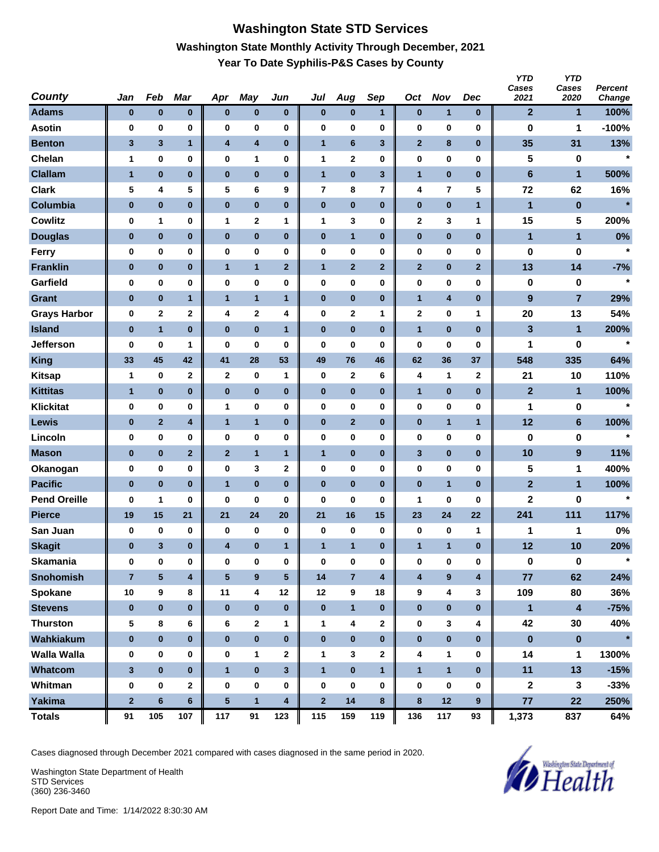# **Washington State STD Services Washington State Monthly Activity Through December, 2021 Year To Date Syphilis-P&S Cases by County**

| <b>County</b>       | Jan            | Feb          | <b>Mar</b>              | Apr             | May                     | Jun                     | Jul          | Aug            | Sep                     | Oct          | <b>Nov</b>       | Dec                     | <b>YTD</b><br>Cases<br>2021 | <b>YTD</b><br>Cases<br>2020 | Percent<br>Change |
|---------------------|----------------|--------------|-------------------------|-----------------|-------------------------|-------------------------|--------------|----------------|-------------------------|--------------|------------------|-------------------------|-----------------------------|-----------------------------|-------------------|
| <b>Adams</b>        | $\bf{0}$       | $\bf{0}$     | $\pmb{0}$               | $\bf{0}$        | $\pmb{0}$               | $\pmb{0}$               | $\bf{0}$     | $\pmb{0}$      | $\mathbf{1}$            | $\pmb{0}$    | 1                | $\bf{0}$                | $\mathbf{2}$                | 1                           | 100%              |
| <b>Asotin</b>       | 0              | 0            | 0                       | 0               | $\bf{0}$                | 0                       | 0            | 0              | $\bf{0}$                | 0            | $\bf{0}$         | 0                       | 0                           | 1                           | $-100%$           |
| <b>Benton</b>       | $\mathbf{3}$   | 3            | $\mathbf{1}$            | 4               | 4                       | $\pmb{0}$               | $\mathbf{1}$ | 6              | $\mathbf{3}$            | $\mathbf{2}$ | 8                | $\bf{0}$                | 35                          | 31                          | 13%               |
| Chelan              | 1              | 0            | 0                       | 0               | 1                       | 0                       | 1            | 2              | 0                       | 0            | $\bf{0}$         | 0                       | 5                           | 0                           | $\star$           |
| <b>Clallam</b>      | $\mathbf{1}$   | $\pmb{0}$    | $\bf{0}$                | $\bf{0}$        | $\bf{0}$                | $\bf{0}$                | $\mathbf{1}$ | $\bf{0}$       | $\mathbf{3}$            | $\mathbf{1}$ | $\bf{0}$         | $\bf{0}$                | $6\phantom{a}$              | 1                           | 500%              |
| <b>Clark</b>        | 5              | 4            | 5                       | 5               | 6                       | 9                       | 7            | 8              | 7                       | 4            | 7                | 5                       | 72                          | 62                          | 16%               |
| Columbia            | $\pmb{0}$      | $\pmb{0}$    | $\bf{0}$                | $\pmb{0}$       | $\bf{0}$                | $\pmb{0}$               | $\pmb{0}$    | $\pmb{0}$      | $\bf{0}$                | $\pmb{0}$    | $\bf{0}$         | $\overline{1}$          | $\blacksquare$              | $\pmb{0}$                   | $\star$           |
| <b>Cowlitz</b>      | 0              | 1            | 0                       | 1               | $\mathbf 2$             | 1                       | 1            | 3              | 0                       | 2            | 3                | 1                       | 15                          | 5                           | 200%              |
| <b>Douglas</b>      | $\bf{0}$       | $\bf{0}$     | $\bf{0}$                | $\bf{0}$        | $\pmb{0}$               | $\pmb{0}$               | $\pmb{0}$    | $\mathbf{1}$   | $\bf{0}$                | 0            | $\pmb{0}$        | $\bf{0}$                | $\mathbf{1}$                | 1                           | 0%                |
| <b>Ferry</b>        | $\bf{0}$       | 0            | 0                       | 0               | $\bf{0}$                | 0                       | 0            | 0              | 0                       | 0            | 0                | 0                       | 0                           | 0                           | $\star$           |
| <b>Franklin</b>     | $\bf{0}$       | $\mathbf 0$  | $\bf{0}$                | $\mathbf{1}$    | $\mathbf{1}$            | $\mathbf{2}$            | $\mathbf{1}$ | $\mathbf{2}$   | $\mathbf{2}$            | $\mathbf{2}$ | $\bf{0}$         | $\mathbf{2}$            | 13                          | 14                          | $-7%$             |
| Garfield            | $\bf{0}$       | $\pmb{0}$    | 0                       | 0               | $\pmb{0}$               | 0                       | 0            | 0              | $\bf{0}$                | 0            | $\bf{0}$         | 0                       | 0                           | 0                           | $\star$           |
| Grant               | $\bf{0}$       | $\pmb{0}$    | 1                       | $\mathbf{1}$    | $\overline{1}$          | $\mathbf{1}$            | $\pmb{0}$    | $\pmb{0}$      | $\bf{0}$                | $\mathbf{1}$ | 4                | $\bf{0}$                | $\boldsymbol{9}$            | $\overline{7}$              | 29%               |
| <b>Grays Harbor</b> | 0              | 2            | 2                       | 4               | $\overline{\mathbf{2}}$ | 4                       | 0            | $\mathbf 2$    | 1                       | 2            | $\bf{0}$         | 1                       | 20                          | 13                          | 54%               |
| <b>Island</b>       | $\pmb{0}$      | $\mathbf{1}$ | $\bf{0}$                | $\bf{0}$        | $\bf{0}$                | $\mathbf{1}$            | $\bf{0}$     | $\pmb{0}$      | $\bf{0}$                | $\mathbf{1}$ | $\bf{0}$         | $\bf{0}$                | 3                           | 1                           | 200%              |
| <b>Jefferson</b>    | 0              | 0            | 1                       | 0               | 0                       | 0                       | 0            | 0              | 0                       | 0            | 0                | 0                       | 1                           | 0                           | $\star$           |
| <b>King</b>         | 33             | 45           | 42                      | 41              | 28                      | 53                      | 49           | 76             | 46                      | 62           | 36               | 37                      | 548                         | 335                         | 64%               |
| <b>Kitsap</b>       | $\mathbf{1}$   | 0            | $\mathbf 2$             | $\mathbf{2}$    | 0                       | 1                       | 0            | 2              | 6                       | 4            | 1                | $\mathbf{2}$            | 21                          | 10                          | 110%              |
| <b>Kittitas</b>     | 1              | $\bf{0}$     | $\pmb{0}$               | 0               | $\pmb{0}$               | $\pmb{0}$               | $\pmb{0}$    | $\pmb{0}$      | $\bf{0}$                | $\mathbf{1}$ | $\bf{0}$         | $\bf{0}$                | $\mathbf{2}$                | 1                           | 100%              |
| <b>Klickitat</b>    | $\bf{0}$       | 0            | 0                       | 1               | $\bf{0}$                | 0                       | 0            | 0              | 0                       | 0            | 0                | 0                       | 1                           | 0                           | $\star$           |
| Lewis               | $\bf{0}$       | $\mathbf{2}$ | 4                       | $\mathbf{1}$    | $\mathbf{1}$            | $\bf{0}$                | $\pmb{0}$    | $\mathbf{2}$   | $\bf{0}$                | $\pmb{0}$    | $\mathbf{1}$     | $\mathbf{1}$            | 12                          | $6\phantom{a}$              | 100%              |
| Lincoln             | 0              | $\pmb{0}$    | 0                       | 0               | $\pmb{0}$               | 0                       | 0            | 0              | $\bf{0}$                | 0            | $\bf{0}$         | 0                       | 0                           | 0                           | $\star$           |
| <b>Mason</b>        | $\bf{0}$       | $\pmb{0}$    | $\mathbf{2}$            | $\overline{2}$  | $\overline{1}$          | 1                       | $\mathbf{1}$ | $\pmb{0}$      | $\bf{0}$                | 3            | $\bf{0}$         | $\bf{0}$                | 10                          | $\boldsymbol{9}$            | 11%               |
| Okanogan            | 0              | $\pmb{0}$    | 0                       | 0               | 3                       | 2                       | 0            | 0              | 0                       | 0            | $\bf{0}$         | 0                       | 5                           | 1                           | 400%              |
| <b>Pacific</b>      | $\bf{0}$       | $\bf{0}$     | $\bf{0}$                | $\mathbf{1}$    | $\bf{0}$                | $\bf{0}$                | $\bf{0}$     | $\bf{0}$       | $\bf{0}$                | $\pmb{0}$    | $\mathbf{1}$     | $\bf{0}$                | $\mathbf{2}$                | $\mathbf{1}$                | 100%              |
| <b>Pend Oreille</b> | 0              | 1            | 0                       | 0               | 0                       | 0                       | 0            | 0              | 0                       | 1            | 0                | 0                       | $\mathbf 2$                 | 0                           | $\star$           |
| <b>Pierce</b>       | 19             | 15           | 21                      | 21              | 24                      | 20                      | 21           | 16             | 15                      | 23           | 24               | 22                      | 241                         | 111                         | 117%              |
| San Juan            | 0              | 0            | 0                       | 0               | 0                       | 0                       | 0            | 0              | $\bf{0}$                | 0            | 0                | $\mathbf{1}$            | 1                           | 1                           | 0%                |
| <b>Skagit</b>       | $\bf{0}$       | 3            | $\bf{0}$                | 4               | $\bf{0}$                | $\mathbf{1}$            | $\mathbf{1}$ | $\mathbf{1}$   | $\bf{0}$                | $\mathbf{1}$ | $\mathbf{1}$     | $\bf{0}$                | 12                          | 10                          | 20%               |
| <b>Skamania</b>     | 0              | $\bf{0}$     | $\pmb{0}$               | $\bf{0}$        | $\pmb{0}$               | 0                       | $\bf{0}$     | 0              | $\pmb{0}$               | 0            | $\pmb{0}$        | $\bf{0}$                | $\pmb{0}$                   | $\pmb{0}$                   | $\star$           |
| <b>Snohomish</b>    | $\overline{7}$ | 5            | $\overline{\mathbf{4}}$ | $5\phantom{.0}$ | $\boldsymbol{9}$        | $\sqrt{5}$              | 14           | $\overline{7}$ | $\overline{\mathbf{4}}$ | 4            | $\boldsymbol{9}$ | $\overline{\mathbf{4}}$ | $77$                        | 62                          | 24%               |
| Spokane             | 10             | 9            | 8                       | 11              | $\overline{\mathbf{4}}$ | 12                      | 12           | 9              | 18                      | 9            | 4                | 3                       | 109                         | 80                          | 36%               |
| <b>Stevens</b>      | $\bf{0}$       | $\pmb{0}$    | $\bf{0}$                | $\bf{0}$        | $\pmb{0}$               | $\bf{0}$                | $\pmb{0}$    | $\mathbf{1}$   | $\bf{0}$                | $\pmb{0}$    | $\pmb{0}$        | $\bf{0}$                | $\mathbf{1}$                | $\overline{\mathbf{4}}$     | $-75%$            |
| <b>Thurston</b>     | 5              | 8            | 6                       | 6               | $\mathbf{2}$            | 1                       | 1            | 4              | $\mathbf 2$             | 0            | 3                | 4                       | 42                          | 30                          | 40%               |
| Wahkiakum           | $\bf{0}$       | $\bf{0}$     | $\bf{0}$                | $\bf{0}$        | $\pmb{0}$               | $\pmb{0}$               | $\bf{0}$     | $\bf{0}$       | $\bf{0}$                | $\pmb{0}$    | $\pmb{0}$        | $\bf{0}$                | $\pmb{0}$                   | $\pmb{0}$                   | $\star$           |
| <b>Walla Walla</b>  | 0              | 0            | 0                       | 0               | $\mathbf{1}$            | 2                       | 1            | 3              | $\mathbf{2}$            | 4            | 1                | 0                       | 14                          | 1                           | 1300%             |
| Whatcom             | $\mathbf{3}$   | $\pmb{0}$    | $\bf{0}$                | $\mathbf{1}$    | $\pmb{0}$               | $\mathbf{3}$            | $\mathbf{1}$ | $\bf{0}$       | $\overline{1}$          | $\mathbf{1}$ | $\mathbf{1}$     | $\bf{0}$                | 11                          | 13                          | $-15%$            |
| Whitman             | 0              | $\pmb{0}$    | $\mathbf 2$             | $\bf{0}$        | 0                       | 0                       | $\bf{0}$     | $\pmb{0}$      | $\bf{0}$                | $\bf{0}$     | $\pmb{0}$        | 0                       | $\mathbf 2$                 | 3                           | $-33%$            |
| <b>Yakima</b>       | $\mathbf 2$    | $\bf 6$      | $\bf 6$                 | $\sqrt{5}$      | $\mathbf{1}$            | $\overline{\mathbf{4}}$ | $\mathbf 2$  | 14             | 8                       | $\bf 8$      | 12               | 9                       | 77                          | 22                          | 250%              |
| <b>Totals</b>       | 91             | 105          | 107                     | 117             | 91                      | 123                     | 115          | 159            | 119                     | 136          | 117              | 93                      | 1,373                       | 837                         | 64%               |

Cases diagnosed through December 2021 compared with cases diagnosed in the same period in 2020.

Washington State Department of Health STD Services (360) 236-3460

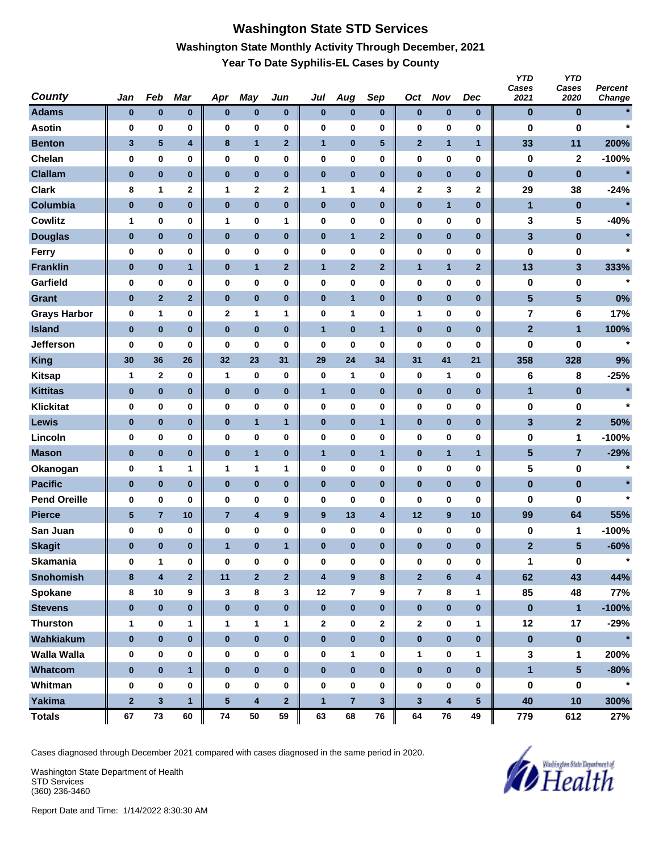# **Washington State STD Services Washington State Monthly Activity Through December, 2021 Year To Date Syphilis-EL Cases by County**

| <b>County</b>       | Jan             | Feb                     | <b>Mar</b>              | Apr            | May                     | Jun              | Jul                     | Aug            | Sep                     | Oct                     | <b>Nov</b>              | Dec                     | <b>YTD</b><br>Cases<br>2021 | <b>YTD</b><br>Cases<br>2020 | Percent<br>Change |
|---------------------|-----------------|-------------------------|-------------------------|----------------|-------------------------|------------------|-------------------------|----------------|-------------------------|-------------------------|-------------------------|-------------------------|-----------------------------|-----------------------------|-------------------|
| <b>Adams</b>        | $\bf{0}$        | $\bf{0}$                | $\bf{0}$                | $\bf{0}$       | $\bf{0}$                | $\bf{0}$         | $\bf{0}$                | $\pmb{0}$      | $\bf{0}$                | $\bf{0}$                | $\bf{0}$                | $\bf{0}$                | $\bf{0}$                    | $\bf{0}$                    |                   |
| <b>Asotin</b>       | 0               | 0                       | 0                       | $\bf{0}$       | $\bf{0}$                | 0                | 0                       | 0              | $\bf{0}$                | 0                       | $\bf{0}$                | 0                       | 0                           | $\bf{0}$                    | $\star$           |
| <b>Benton</b>       | 3               | 5                       | $\overline{\mathbf{4}}$ | 8              | $\overline{1}$          | $\mathbf{2}$     | $\mathbf{1}$            | $\pmb{0}$      | 5                       | $\mathbf{2}$            | $\mathbf{1}$            | $\mathbf{1}$            | 33                          | 11                          | 200%              |
| Chelan              | 0               | $\pmb{0}$               | 0                       | 0              | 0                       | 0                | 0                       | 0              | 0                       | 0                       | $\bf{0}$                | 0                       | $\pmb{0}$                   | $\mathbf 2$                 | $-100%$           |
| <b>Clallam</b>      | $\bf{0}$        | $\bf{0}$                | $\bf{0}$                | $\bf{0}$       | $\bf{0}$                | $\bf{0}$         | $\bf{0}$                | $\bf{0}$       | $\bf{0}$                | $\pmb{0}$               | $\bf{0}$                | $\bf{0}$                | $\pmb{0}$                   | $\bf{0}$                    | $\star$           |
| <b>Clark</b>        | 8               | 1                       | $\mathbf 2$             | 1              | 2                       | 2                | 1                       | 1              | 4                       | 2                       | 3                       | $\mathbf{2}$            | 29                          | 38                          | $-24%$            |
| Columbia            | $\bf{0}$        | $\pmb{0}$               | $\bf{0}$                | $\pmb{0}$      | $\bf{0}$                | $\pmb{0}$        | $\pmb{0}$               | $\bf{0}$       | $\bf{0}$                | $\pmb{0}$               | $\mathbf{1}$            | $\bf{0}$                | $\mathbf{1}$                | $\pmb{0}$                   | $\star$           |
| <b>Cowlitz</b>      | 1               | 0                       | 0                       | 1              | 0                       | 1                | 0                       | 0              | 0                       | 0                       | $\bf{0}$                | 0                       | 3                           | 5                           | $-40%$            |
| <b>Douglas</b>      | $\bf{0}$        | $\bf{0}$                | $\bf{0}$                | $\bf{0}$       | $\pmb{0}$               | $\pmb{0}$        | $\pmb{0}$               | $\mathbf{1}$   | $\mathbf{2}$            | $\bf{0}$                | $\bf{0}$                | $\bf{0}$                | 3                           | $\bf{0}$                    | $\star$           |
| <b>Ferry</b>        | 0               | 0                       | 0                       | 0              | $\bf{0}$                | 0                | 0                       | 0              | 0                       | 0                       | 0                       | 0                       | 0                           | 0                           | $\star$           |
| <b>Franklin</b>     | $\bf{0}$        | $\bf{0}$                | 1                       | $\bf{0}$       | $\mathbf{1}$            | $\mathbf{2}$     | $\mathbf{1}$            | $\mathbf{2}$   | $\mathbf{2}$            | $\mathbf{1}$            | $\mathbf{1}$            | $\mathbf{2}$            | 13                          | 3                           | 333%              |
| Garfield            | $\bf{0}$        | 0                       | 0                       | 0              | $\bf{0}$                | 0                | 0                       | 0              | $\bf{0}$                | 0                       | $\bf{0}$                | 0                       | 0                           | 0                           | $\star$           |
| <b>Grant</b>        | $\bf{0}$        | $\overline{2}$          | $\mathbf{2}$            | $\pmb{0}$      | $\pmb{0}$               | $\pmb{0}$        | $\pmb{0}$               | $\mathbf{1}$   | $\bf{0}$                | $\bf{0}$                | $\bf{0}$                | $\bf{0}$                | 5                           | 5                           | 0%                |
| <b>Grays Harbor</b> | 0               | 1                       | 0                       | 2              | 1                       | 1                | 0                       | 1              | 0                       | 1                       | $\bf{0}$                | 0                       | $\overline{\mathbf{r}}$     | 6                           | 17%               |
| <b>Island</b>       | $\bf{0}$        | $\bf{0}$                | $\bf{0}$                | $\bf{0}$       | $\bf{0}$                | $\bf{0}$         | $\overline{1}$          | $\bf{0}$       | $\mathbf{1}$            | $\pmb{0}$               | $\bf{0}$                | $\bf{0}$                | $\overline{2}$              | $\mathbf{1}$                | 100%              |
| <b>Jefferson</b>    | 0               | 0                       | 0                       | 0              | $\bf{0}$                | 0                | 0                       | 0              | 0                       | 0                       | 0                       | 0                       | 0                           | 0                           | $\star$           |
| <b>King</b>         | 30              | 36                      | 26                      | 32             | 23                      | 31               | 29                      | 24             | 34                      | 31                      | 41                      | 21                      | 358                         | 328                         | 9%                |
| <b>Kitsap</b>       | $\mathbf{1}$    | $\mathbf{2}$            | 0                       | $\mathbf{1}$   | 0                       | 0                | $\bf{0}$                | 1              | $\bf{0}$                | 0                       | 1                       | $\bf{0}$                | 6                           | 8                           | $-25%$            |
| <b>Kittitas</b>     | $\bf{0}$        | $\bf{0}$                | $\bf{0}$                | $\bf{0}$       | $\pmb{0}$               | $\pmb{0}$        | $\mathbf{1}$            | $\pmb{0}$      | $\bf{0}$                | 0                       | $\bf{0}$                | $\bf{0}$                | 1                           | $\bf{0}$                    | $\star$           |
| <b>Klickitat</b>    | 0               | 0                       | 0                       | 0              | $\bf{0}$                | 0                | 0                       | 0              | 0                       | 0                       | 0                       | 0                       | 0                           | 0                           | $\star$           |
| Lewis               | $\bf{0}$        | $\bf{0}$                | $\bf{0}$                | $\bf{0}$       | $\mathbf{1}$            | $\mathbf{1}$     | $\pmb{0}$               | $\bf{0}$       | $\mathbf{1}$            | 0                       | $\bf{0}$                | $\bf{0}$                | 3                           | $\overline{2}$              | 50%               |
| Lincoln             | 0               | $\pmb{0}$               | 0                       | 0              | $\bf{0}$                | 0                | 0                       | 0              | $\bf{0}$                | 0                       | $\bf{0}$                | 0                       | 0                           | 1                           | $-100%$           |
| <b>Mason</b>        | $\bf{0}$        | $\pmb{0}$               | $\bf{0}$                | $\pmb{0}$      | $\overline{1}$          | $\pmb{0}$        | $\mathbf{1}$            | $\pmb{0}$      | $\mathbf{1}$            | 0                       | $\mathbf{1}$            | $\mathbf{1}$            | 5                           | 7                           | $-29%$            |
| Okanogan            | 0               | 1                       | 1                       | 1              | 1                       | 1                | 0                       | 0              | 0                       | 0                       | $\bf{0}$                | 0                       | 5                           | 0                           | $\ast$            |
| <b>Pacific</b>      | $\bf{0}$        | $\bf{0}$                | $\bf{0}$                | $\bf{0}$       | $\bf{0}$                | $\bf{0}$         | $\bf{0}$                | $\bf{0}$       | $\bf{0}$                | $\bf{0}$                | $\bf{0}$                | $\bf{0}$                | $\pmb{0}$                   | $\bf{0}$                    |                   |
| <b>Pend Oreille</b> | 0               | 0                       | 0                       | 0              | 0                       | 0                | 0                       | 0              | 0                       | 0                       | 0                       | 0                       | 0                           | 0                           | $\star$           |
| <b>Pierce</b>       | $5\phantom{.0}$ | $\overline{7}$          | 10                      | $\overline{7}$ | $\overline{\mathbf{4}}$ | $\boldsymbol{9}$ | $\boldsymbol{9}$        | 13             | $\overline{\mathbf{4}}$ | 12                      | 9                       | 10                      | 99                          | 64                          | 55%               |
| San Juan            | 0               | 0                       | 0                       | 0              | 0                       | 0                | 0                       | 0              | $\bf{0}$                | 0                       | 0                       | 0                       | 0                           | 1                           | $-100%$           |
| <b>Skagit</b>       | $\bf{0}$        | $\bf{0}$                | $\bf{0}$                | $\mathbf{1}$   | $\bf{0}$                | 1                | $\bf{0}$                | $\bf{0}$       | $\bf{0}$                | $\bf{0}$                | $\bf{0}$                | $\bf{0}$                | $\mathbf{2}$                | 5                           | $-60%$            |
| <b>Skamania</b>     | 0               | $\mathbf{1}$            | $\pmb{0}$               | $\bf{0}$       | $\pmb{0}$               | 0                | 0                       | 0              | $\pmb{0}$               | 0                       | $\pmb{0}$               | $\bf{0}$                | 1                           | $\pmb{0}$                   | $\star$           |
| <b>Snohomish</b>    | 8               | $\overline{\mathbf{4}}$ | $\overline{\mathbf{2}}$ | 11             | $\mathbf 2$             | $\mathbf 2$      | $\overline{\mathbf{4}}$ | 9              | $\bf8$                  | $\overline{\mathbf{2}}$ | $\bf 6$                 | $\overline{\mathbf{4}}$ | 62                          | 43                          | 44%               |
| Spokane             | 8               | 10                      | 9                       | 3              | 8                       | 3                | 12                      | $\overline{7}$ | 9                       | $\overline{7}$          | 8                       | 1                       | 85                          | 48                          | 77%               |
| <b>Stevens</b>      | $\pmb{0}$       | $\pmb{0}$               | $\pmb{0}$               | $\bf{0}$       | $\pmb{0}$               | $\bf{0}$         | $\pmb{0}$               | $\pmb{0}$      | $\bf{0}$                | $\pmb{0}$               | $\pmb{0}$               | $\bf{0}$                | $\pmb{0}$                   | $\mathbf{1}$                | $-100%$           |
| <b>Thurston</b>     | 1               | $\pmb{0}$               | 1                       | 1              | $\mathbf{1}$            | 1                | $\mathbf{2}$            | 0              | 2                       | 2                       | $\pmb{0}$               | 1                       | 12                          | 17                          | $-29%$            |
| Wahkiakum           | $\pmb{0}$       | $\pmb{0}$               | $\bf{0}$                | $\bf{0}$       | $\pmb{0}$               | $\pmb{0}$        | $\bf{0}$                | $\bf{0}$       | $\bf{0}$                | $\pmb{0}$               | $\pmb{0}$               | $\bf{0}$                | $\pmb{0}$                   | $\pmb{0}$                   | $\star$           |
| <b>Walla Walla</b>  | 0               | 0                       | 0                       | 0              | 0                       | 0                | 0                       | 1              | 0                       | $\mathbf{1}$            | $\pmb{0}$               | 1                       | 3                           | 1                           | 200%              |
| Whatcom             | $\bf{0}$        | $\pmb{0}$               | $\mathbf{1}$            | $\bf{0}$       | $\pmb{0}$               | $\bf{0}$         | $\bf{0}$                | $\bf{0}$       | $\bf{0}$                | $\pmb{0}$               | $\pmb{0}$               | $\bf{0}$                | $\blacksquare$              | $5\phantom{.0}$             | $-80%$            |
| Whitman             | 0               | $\pmb{0}$               | $\pmb{0}$               | $\bf{0}$       | $\pmb{0}$               | 0                | $\bf{0}$                | 0              | $\bf{0}$                | $\bf{0}$                | $\pmb{0}$               | 0                       | $\pmb{0}$                   | 0                           | $\star$           |
| <b>Yakima</b>       | $\mathbf 2$     | $\mathbf{3}$            | $\mathbf{1}$            | $\sqrt{5}$     | $\overline{\mathbf{4}}$ | $\mathbf{2}$     | $\mathbf{1}$            | $\overline{7}$ | $\mathbf{3}$            | $\mathbf{3}$            | $\overline{\mathbf{4}}$ | ${\bf 5}$               | 40                          | 10                          | 300%              |
| <b>Totals</b>       | 67              | 73                      | 60                      | ${\bf 74}$     | 50                      | 59               | 63                      | 68             | ${\bf 76}$              | 64                      | 76                      | 49                      | 779                         | 612                         | 27%               |

Cases diagnosed through December 2021 compared with cases diagnosed in the same period in 2020.

Washington State Department of Health STD Services (360) 236-3460

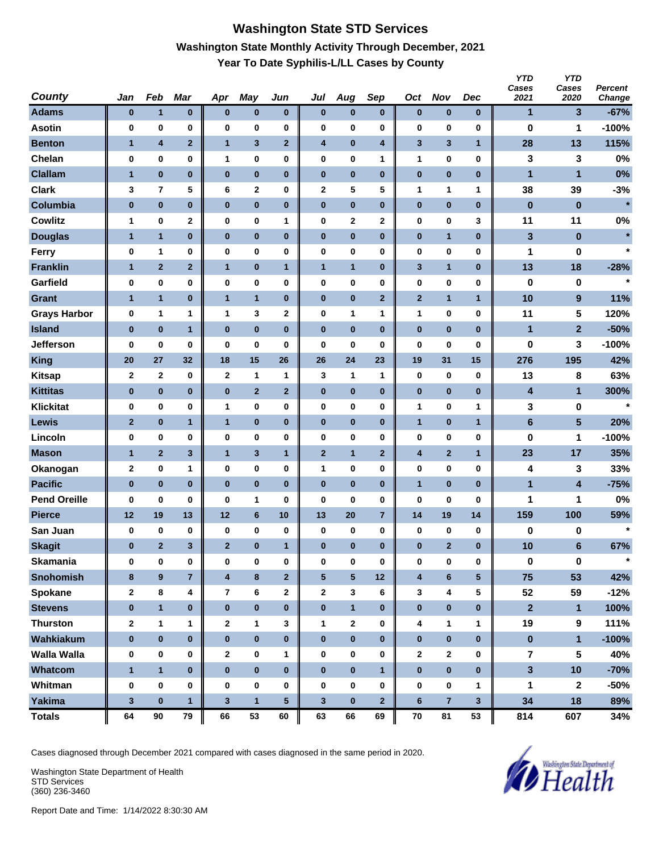# **Washington State STD Services Washington State Monthly Activity Through December, 2021 Year To Date Syphilis-L/LL Cases by County**

| <b>County</b>       | Jan          | Feb                     | Mar            | Apr                     | May            | Jun          | Jul                     | Aug             | Sep            | Oct          | <b>Nov</b>     | Dec             | <b>YTD</b><br>Cases<br>2021 | <b>YTD</b><br>Cases<br>2020 | Percent<br>Change |
|---------------------|--------------|-------------------------|----------------|-------------------------|----------------|--------------|-------------------------|-----------------|----------------|--------------|----------------|-----------------|-----------------------------|-----------------------------|-------------------|
| <b>Adams</b>        | $\bf{0}$     | $\mathbf{1}$            | $\pmb{0}$      | $\bf{0}$                | $\pmb{0}$      | $\pmb{0}$    | $\bf{0}$                | $\pmb{0}$       | $\bf{0}$       | $\pmb{0}$    | $\bf{0}$       | $\bf{0}$        | 1                           | 3                           | $-67%$            |
| <b>Asotin</b>       | 0            | 0                       | 0              | 0                       | $\bf{0}$       | 0            | 0                       | 0               | $\bf{0}$       | 0            | $\bf{0}$       | 0               | $\bf{0}$                    | 1                           | $-100%$           |
| <b>Benton</b>       | $\mathbf{1}$ | 4                       | $\mathbf{2}$   | $\mathbf{1}$            | $\mathbf{3}$   | $\mathbf{2}$ | $\overline{\mathbf{4}}$ | $\pmb{0}$       | 4              | 3            | 3              | $\mathbf{1}$    | 28                          | 13                          | 115%              |
| Chelan              | 0            | $\pmb{0}$               | $\pmb{0}$      | 1                       | 0              | 0            | 0                       | 0               | 1              | 1            | $\bf{0}$       | 0               | 3                           | 3                           | 0%                |
| <b>Clallam</b>      | $\mathbf{1}$ | $\pmb{0}$               | $\bf{0}$       | $\bf{0}$                | $\bf{0}$       | $\bf{0}$     | $\bf{0}$                | $\bf{0}$        | $\bf{0}$       | $\pmb{0}$    | $\bf{0}$       | $\bf{0}$        | $\mathbf{1}$                | 1                           | 0%                |
| <b>Clark</b>        | 3            | $\overline{\mathbf{r}}$ | 5              | 6                       | $\mathbf 2$    | 0            | 2                       | 5               | 5              | 1            | 1              | 1               | 38                          | 39                          | $-3%$             |
| Columbia            | $\pmb{0}$    | $\pmb{0}$               | $\bf{0}$       | $\pmb{0}$               | $\bf{0}$       | $\pmb{0}$    | $\pmb{0}$               | $\pmb{0}$       | $\bf{0}$       | $\pmb{0}$    | $\bf{0}$       | $\bf{0}$        | $\pmb{0}$                   | $\pmb{0}$                   | $\star$           |
| <b>Cowlitz</b>      | 1            | 0                       | $\mathbf 2$    | 0                       | 0              | 1            | 0                       | 2               | $\mathbf 2$    | 0            | 0              | 3               | 11                          | 11                          | 0%                |
| <b>Douglas</b>      | $\mathbf{1}$ | $\mathbf{1}$            | $\bf{0}$       | $\bf{0}$                | $\pmb{0}$      | $\pmb{0}$    | $\pmb{0}$               | $\pmb{0}$       | $\bf{0}$       | $\bf{0}$     | $\mathbf{1}$   | $\bf{0}$        | 3                           | $\bf{0}$                    | $\star$           |
| <b>Ferry</b>        | $\bf{0}$     | 1                       | 0              | 0                       | $\bf{0}$       | 0            | $\pmb{0}$               | 0               | 0              | 0            | 0              | 0               | 1                           | 0                           | $\star$           |
| <b>Franklin</b>     | $\mathbf{1}$ | $\mathbf{2}$            | $\mathbf 2$    | $\mathbf{1}$            | $\pmb{0}$      | $\mathbf{1}$ | $\mathbf{1}$            | 1               | $\bf{0}$       | 3            | 1              | $\bf{0}$        | 13                          | 18                          | $-28%$            |
| Garfield            | 0            | 0                       | $\bf{0}$       | 0                       | $\pmb{0}$      | 0            | 0                       | 0               | $\bf{0}$       | 0            | $\bf{0}$       | 0               | 0                           | 0                           | $\star$           |
| <b>Grant</b>        | $\mathbf{1}$ | $\mathbf{1}$            | $\bf{0}$       | $\mathbf{1}$            | $\overline{1}$ | $\pmb{0}$    | $\pmb{0}$               | $\pmb{0}$       | $\mathbf{2}$   | $\mathbf{2}$ | $\mathbf{1}$   | $\mathbf{1}$    | 10                          | 9                           | 11%               |
| <b>Grays Harbor</b> | 0            | 1                       | 1              | 1                       | 3              | 2            | 0                       | 1               | 1              | 1            | $\bf{0}$       | 0               | 11                          | 5                           | 120%              |
| <b>Island</b>       | $\bf{0}$     | $\pmb{0}$               | $\mathbf{1}$   | $\bf{0}$                | $\bf{0}$       | $\bf{0}$     | $\bf{0}$                | $\pmb{0}$       | $\bf{0}$       | $\pmb{0}$    | $\bf{0}$       | $\bf{0}$        | 1                           | $\overline{2}$              | $-50%$            |
| <b>Jefferson</b>    | 0            | 0                       | 0              | 0                       | 0              | 0            | 0                       | 0               | 0              | 0            | 0              | 0               | 0                           | 3                           | $-100%$           |
| <b>King</b>         | 20           | 27                      | 32             | 18                      | 15             | 26           | 26                      | 24              | 23             | 19           | 31             | 15              | 276                         | 195                         | 42%               |
| <b>Kitsap</b>       | $\mathbf 2$  | $\mathbf{2}$            | 0              | $\mathbf{2}$            | $\mathbf{1}$   | 1            | 3                       | 1               | 1              | $\bf{0}$     | 0              | $\bf{0}$        | 13                          | 8                           | 63%               |
| <b>Kittitas</b>     | $\bf{0}$     | $\bf{0}$                | $\pmb{0}$      | 0                       | $\mathbf{2}$   | $\mathbf{2}$ | $\pmb{0}$               | $\pmb{0}$       | $\bf{0}$       | 0            | $\pmb{0}$      | $\bf{0}$        | 4                           | 1                           | 300%              |
| <b>Klickitat</b>    | 0            | 0                       | 0              | 1                       | $\bf{0}$       | 0            | $\pmb{0}$               | 0               | 0              | 1            | 0              | 1               | 3                           | 0                           | $\star$           |
| Lewis               | $\mathbf{2}$ | $\bf{0}$                | 1              | $\mathbf{1}$            | $\pmb{0}$      | $\bf{0}$     | $\pmb{0}$               | $\pmb{0}$       | $\bf{0}$       | $\mathbf{1}$ | $\bf{0}$       | $\mathbf{1}$    | $\bf 6$                     | $5\phantom{.0}$             | 20%               |
| Lincoln             | 0            | $\pmb{0}$               | $\bf{0}$       | 0                       | $\bf{0}$       | 0            | 0                       | 0               | $\bf{0}$       | 0            | $\bf{0}$       | 0               | 0                           | 1                           | $-100%$           |
| <b>Mason</b>        | $\mathbf{1}$ | $\overline{2}$          | 3              | $\mathbf{1}$            | $\mathbf{3}$   | 1            | $\mathbf{2}$            | $\mathbf{1}$    | $\mathbf{2}$   | 4            | $\overline{2}$ | $\mathbf{1}$    | 23                          | 17                          | 35%               |
| Okanogan            | $\mathbf 2$  | $\pmb{0}$               | 1              | 0                       | $\bf{0}$       | 0            | 1                       | 0               | 0              | 0            | $\bf{0}$       | 0               | 4                           | 3                           | 33%               |
| <b>Pacific</b>      | $\bf{0}$     | $\bf{0}$                | $\bf{0}$       | $\bf{0}$                | $\bf{0}$       | $\bf{0}$     | $\bf{0}$                | $\bf{0}$        | $\bf{0}$       | $\mathbf{1}$ | $\bf{0}$       | $\bf{0}$        | $\mathbf{1}$                | $\overline{\mathbf{4}}$     | $-75%$            |
| <b>Pend Oreille</b> | 0            | 0                       | 0              | 0                       | 1              | 0            | 0                       | 0               | 0              | 0            | 0              | 0               | 1                           | 1                           | 0%                |
| <b>Pierce</b>       | 12           | 19                      | 13             | 12                      | $\bf 6$        | 10           | 13                      | 20              | $\overline{7}$ | 14           | 19             | 14              | 159                         | 100                         | 59%               |
| San Juan            | 0            | 0                       | 0              | 0                       | $\pmb{0}$      | $\pmb{0}$    | 0                       | 0               | $\bf{0}$       | 0            | 0              | 0               | 0                           | 0                           | $\star$           |
| <b>Skagit</b>       | $\bf{0}$     | $\overline{2}$          | 3              | $\overline{2}$          | $\pmb{0}$      | $\mathbf{1}$ | $\bf{0}$                | $\bf{0}$        | $\bf{0}$       | $\bf{0}$     | $\overline{2}$ | $\bf{0}$        | 10                          | $6\phantom{1}$              | 67%               |
| <b>Skamania</b>     | 0            | $\pmb{0}$               | $\pmb{0}$      | $\bf{0}$                | $\pmb{0}$      | 0            | 0                       | 0               | $\pmb{0}$      | 0            | $\pmb{0}$      | $\bf{0}$        | $\pmb{0}$                   | $\pmb{0}$                   | $\star$           |
| <b>Snohomish</b>    | 8            | 9                       | $\overline{7}$ | $\overline{\mathbf{4}}$ | $\bf 8$        | $\mathbf 2$  | $\sqrt{5}$              | $5\phantom{.0}$ | 12             | 4            | $\bf 6$        | $5\phantom{.0}$ | 75                          | 53                          | 42%               |
| Spokane             | $\mathbf{2}$ | 8                       | 4              | 7                       | 6              | $\mathbf{2}$ | $\mathbf{2}$            | 3               | 6              | 3            | 4              | 5               | 52                          | 59                          | $-12%$            |
| <b>Stevens</b>      | $\pmb{0}$    | $\mathbf{1}$            | $\bf{0}$       | $\bf{0}$                | $\pmb{0}$      | $\bf{0}$     | $\pmb{0}$               | $\mathbf{1}$    | $\bf{0}$       | $\pmb{0}$    | $\pmb{0}$      | $\bf{0}$        | $\mathbf{2}$                | $\mathbf{1}$                | 100%              |
| <b>Thurston</b>     | $\mathbf{2}$ | 1                       | 1              | $\mathbf{2}$            | $\mathbf{1}$   | 3            | 1                       | 2               | 0              | 4            | 1              | 1               | 19                          | 9                           | 111%              |
| Wahkiakum           | $\pmb{0}$    | $\pmb{0}$               | $\bf{0}$       | $\bf{0}$                | $\pmb{0}$      | $\pmb{0}$    | $\bf{0}$                | $\bf{0}$        | $\bf{0}$       | $\pmb{0}$    | $\pmb{0}$      | $\bf{0}$        | $\pmb{0}$                   | $\mathbf{1}$                | $-100%$           |
| <b>Walla Walla</b>  | 0            | 0                       | 0              | 2                       | $\pmb{0}$      | 1            | 0                       | 0               | 0              | 2            | $\mathbf{2}$   | 0               | $\overline{7}$              | 5                           | 40%               |
| Whatcom             | $\mathbf{1}$ | $\mathbf{1}$            | $\bf{0}$       | $\bf{0}$                | $\pmb{0}$      | $\bf{0}$     | $\bf{0}$                | $\bf{0}$        | $\overline{1}$ | $\pmb{0}$    | $\mathbf 0$    | $\bf{0}$        | $\overline{\mathbf{3}}$     | 10                          | $-70%$            |
| Whitman             | 0            | $\pmb{0}$               | $\pmb{0}$      | $\bf{0}$                | $\pmb{0}$      | 0            | 0                       | 0               | 0              | $\bf{0}$     | $\pmb{0}$      | 1               | 1                           | $\mathbf{2}$                | $-50%$            |
| <b>Yakima</b>       | $\mathbf 3$  | $\bf{0}$                | $\mathbf{1}$   | $\mathbf{3}$            | $\overline{1}$ | ${\bf 5}$    | $\mathbf{3}$            | $\bf{0}$        | $\mathbf{2}$   | $\bf 6$      | $\overline{7}$ | $\mathbf{3}$    | 34                          | 18                          | 89%               |
| <b>Totals</b>       | 64           | 90                      | 79             | 66                      | 53             | 60           | 63                      | 66              | 69             | 70           | 81             | 53              | 814                         | 607                         | 34%               |

Cases diagnosed through December 2021 compared with cases diagnosed in the same period in 2020.

Washington State Department of Health STD Services (360) 236-3460